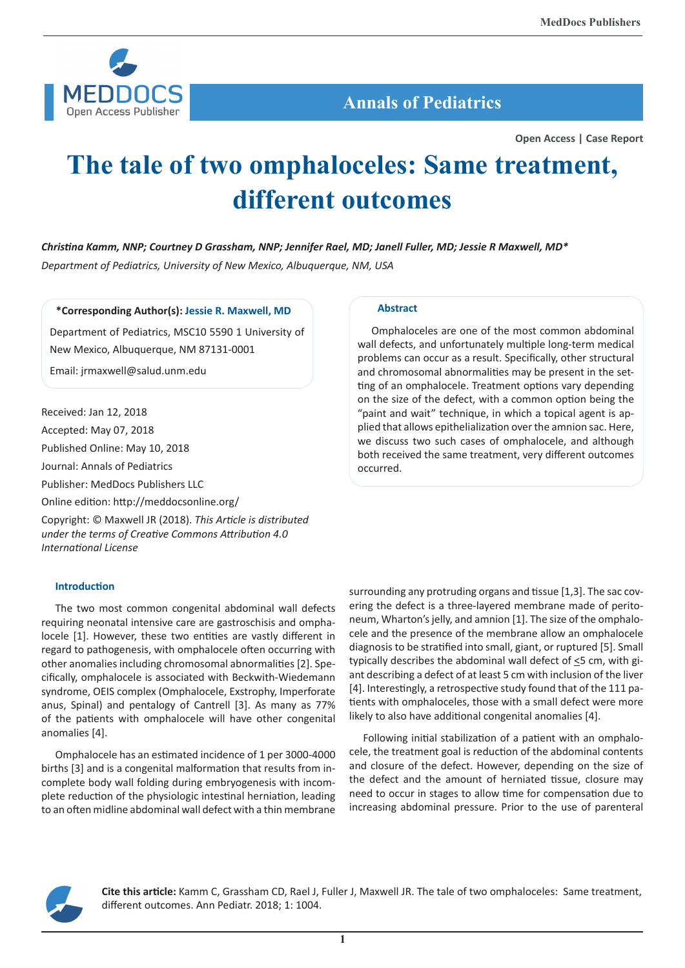![](_page_0_Picture_1.jpeg)

## **Annals of Pediatrics**

**Open Access | Case Report**

# **The tale of two omphaloceles: Same treatment, different outcomes**

*Christina Kamm, NNP; Courtney D Grassham, NNP; Jennifer Rael, MD; Janell Fuller, MD; Jessie R Maxwell, MD\* Department of Pediatrics, University of New Mexico, Albuquerque, NM, USA*

**\*Corresponding Author(s): Jessie R. Maxwell, MD**

Department of Pediatrics, MSC10 5590 1 University of New Mexico, Albuquerque, NM 87131-0001

Email: jrmaxwell@salud.unm.edu

Received: Jan 12, 2018

Accepted: May 07, 2018

Published Online: May 10, 2018

Journal: Annals of Pediatrics

Publisher: MedDocs Publishers LLC

Online edition: http://meddocsonline.org/

Copyright: © Maxwell JR (2018). *This Article is distributed under the terms of Creative Commons Attribution 4.0 International License*

### **Introduction**

The two most common congenital abdominal wall defects requiring neonatal intensive care are gastroschisis and omphalocele [1]. However, these two entities are vastly different in regard to pathogenesis, with omphalocele often occurring with other anomalies including chromosomal abnormalities [2]. Specifically, omphalocele is associated with Beckwith-Wiedemann syndrome, OEIS complex (Omphalocele, Exstrophy, Imperforate anus, Spinal) and pentalogy of Cantrell [3]. As many as 77% of the patients with omphalocele will have other congenital anomalies [4].

Omphalocele has an estimated incidence of 1 per 3000-4000 births [3] and is a congenital malformation that results from incomplete body wall folding during embryogenesis with incomplete reduction of the physiologic intestinal herniation, leading to an often midline abdominal wall defect with a thin membrane

#### **Abstract**

Omphaloceles are one of the most common abdominal wall defects, and unfortunately multiple long-term medical problems can occur as a result. Specifically, other structural and chromosomal abnormalities may be present in the setting of an omphalocele. Treatment options vary depending on the size of the defect, with a common option being the "paint and wait" technique, in which a topical agent is applied that allows epithelialization over the amnion sac. Here, we discuss two such cases of omphalocele, and although both received the same treatment, very different outcomes occurred.

surrounding any protruding organs and tissue [1,3]. The sac covering the defect is a three-layered membrane made of peritoneum, Wharton's jelly, and amnion [1]. The size of the omphalocele and the presence of the membrane allow an omphalocele diagnosis to be stratified into small, giant, or ruptured [5]. Small typically describes the abdominal wall defect of <5 cm, with giant describing a defect of at least 5 cm with inclusion of the liver [4]. Interestingly, a retrospective study found that of the 111 patients with omphaloceles, those with a small defect were more likely to also have additional congenital anomalies [4].

Following initial stabilization of a patient with an omphalocele, the treatment goal is reduction of the abdominal contents and closure of the defect. However, depending on the size of the defect and the amount of herniated tissue, closure may need to occur in stages to allow time for compensation due to increasing abdominal pressure. Prior to the use of parenteral

![](_page_0_Picture_23.jpeg)

**Cite this article:** Kamm C, Grassham CD, Rael J, Fuller J, Maxwell JR. The tale of two omphaloceles: Same treatment, different outcomes. Ann Pediatr. 2018; 1: 1004.

**1**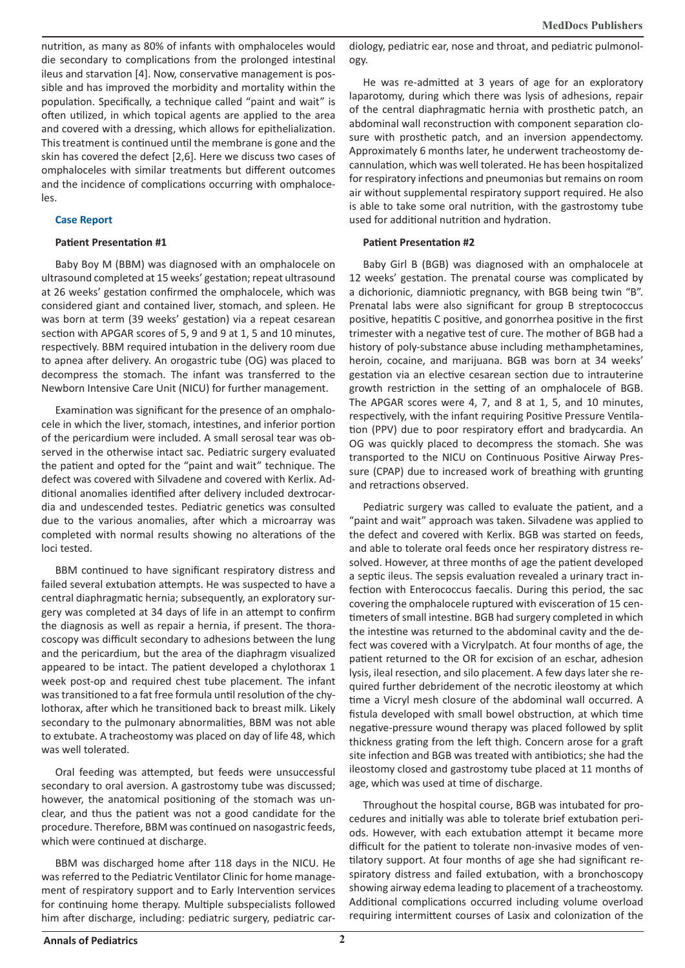nutrition, as many as 80% of infants with omphaloceles would die secondary to complications from the prolonged intestinal ileus and starvation [4]. Now, conservative management is possible and has improved the morbidity and mortality within the population. Specifically, a technique called "paint and wait" is often utilized, in which topical agents are applied to the area and covered with a dressing, which allows for epithelialization. This treatment is continued until the membrane is gone and the skin has covered the defect [2,6]. Here we discuss two cases of omphaloceles with similar treatments but different outcomes and the incidence of complications occurring with omphaloceles.

### **Case Report**

#### **Patient Presentation #1**

Baby Boy M (BBM) was diagnosed with an omphalocele on ultrasound completed at 15 weeks' gestation; repeat ultrasound at 26 weeks' gestation confirmed the omphalocele, which was considered giant and contained liver, stomach, and spleen. He was born at term (39 weeks' gestation) via a repeat cesarean section with APGAR scores of 5, 9 and 9 at 1, 5 and 10 minutes, respectively. BBM required intubation in the delivery room due to apnea after delivery. An orogastric tube (OG) was placed to decompress the stomach. The infant was transferred to the Newborn Intensive Care Unit (NICU) for further management.

Examination was significant for the presence of an omphalocele in which the liver, stomach, intestines, and inferior portion of the pericardium were included. A small serosal tear was observed in the otherwise intact sac. Pediatric surgery evaluated the patient and opted for the "paint and wait" technique. The defect was covered with Silvadene and covered with Kerlix. Additional anomalies identified after delivery included dextrocardia and undescended testes. Pediatric genetics was consulted due to the various anomalies, after which a microarray was completed with normal results showing no alterations of the loci tested.

BBM continued to have significant respiratory distress and failed several extubation attempts. He was suspected to have a central diaphragmatic hernia; subsequently, an exploratory surgery was completed at 34 days of life in an attempt to confirm the diagnosis as well as repair a hernia, if present. The thoracoscopy was difficult secondary to adhesions between the lung and the pericardium, but the area of the diaphragm visualized appeared to be intact. The patient developed a chylothorax 1 week post-op and required chest tube placement. The infant was transitioned to a fat free formula until resolution of the chylothorax, after which he transitioned back to breast milk. Likely secondary to the pulmonary abnormalities, BBM was not able to extubate. A tracheostomy was placed on day of life 48, which was well tolerated.

Oral feeding was attempted, but feeds were unsuccessful secondary to oral aversion. A gastrostomy tube was discussed; however, the anatomical positioning of the stomach was unclear, and thus the patient was not a good candidate for the procedure. Therefore, BBM was continued on nasogastric feeds, which were continued at discharge.

BBM was discharged home after 118 days in the NICU. He was referred to the Pediatric Ventilator Clinic for home management of respiratory support and to Early Intervention services for continuing home therapy. Multiple subspecialists followed him after discharge, including: pediatric surgery, pediatric cardiology, pediatric ear, nose and throat, and pediatric pulmonology.

He was re-admitted at 3 years of age for an exploratory laparotomy, during which there was lysis of adhesions, repair of the central diaphragmatic hernia with prosthetic patch, an abdominal wall reconstruction with component separation closure with prosthetic patch, and an inversion appendectomy. Approximately 6 months later, he underwent tracheostomy decannulation, which was well tolerated. He has been hospitalized for respiratory infections and pneumonias but remains on room air without supplemental respiratory support required. He also is able to take some oral nutrition, with the gastrostomy tube used for additional nutrition and hydration.

### **Patient Presentation #2**

Baby Girl B (BGB) was diagnosed with an omphalocele at 12 weeks' gestation. The prenatal course was complicated by a dichorionic, diamniotic pregnancy, with BGB being twin "B". Prenatal labs were also significant for group B streptococcus positive, hepatitis C positive, and gonorrhea positive in the first trimester with a negative test of cure. The mother of BGB had a history of poly-substance abuse including methamphetamines, heroin, cocaine, and marijuana. BGB was born at 34 weeks' gestation via an elective cesarean section due to intrauterine growth restriction in the setting of an omphalocele of BGB. The APGAR scores were 4, 7, and 8 at 1, 5, and 10 minutes, respectively, with the infant requiring Positive Pressure Ventilation (PPV) due to poor respiratory effort and bradycardia. An OG was quickly placed to decompress the stomach. She was transported to the NICU on Continuous Positive Airway Pressure (CPAP) due to increased work of breathing with grunting and retractions observed.

Pediatric surgery was called to evaluate the patient, and a "paint and wait" approach was taken. Silvadene was applied to the defect and covered with Kerlix. BGB was started on feeds, and able to tolerate oral feeds once her respiratory distress resolved. However, at three months of age the patient developed a septic ileus. The sepsis evaluation revealed a urinary tract infection with Enterococcus faecalis. During this period, the sac covering the omphalocele ruptured with evisceration of 15 centimeters of small intestine. BGB had surgery completed in which the intestine was returned to the abdominal cavity and the defect was covered with a Vicrylpatch. At four months of age, the patient returned to the OR for excision of an eschar, adhesion lysis, ileal resection, and silo placement. A few days later she required further debridement of the necrotic ileostomy at which time a Vicryl mesh closure of the abdominal wall occurred. A fistula developed with small bowel obstruction, at which time negative-pressure wound therapy was placed followed by split thickness grating from the left thigh. Concern arose for a graft site infection and BGB was treated with antibiotics; she had the ileostomy closed and gastrostomy tube placed at 11 months of age, which was used at time of discharge.

Throughout the hospital course, BGB was intubated for procedures and initially was able to tolerate brief extubation periods. However, with each extubation attempt it became more difficult for the patient to tolerate non-invasive modes of ventilatory support. At four months of age she had significant respiratory distress and failed extubation, with a bronchoscopy showing airway edema leading to placement of a tracheostomy. Additional complications occurred including volume overload requiring intermittent courses of Lasix and colonization of the